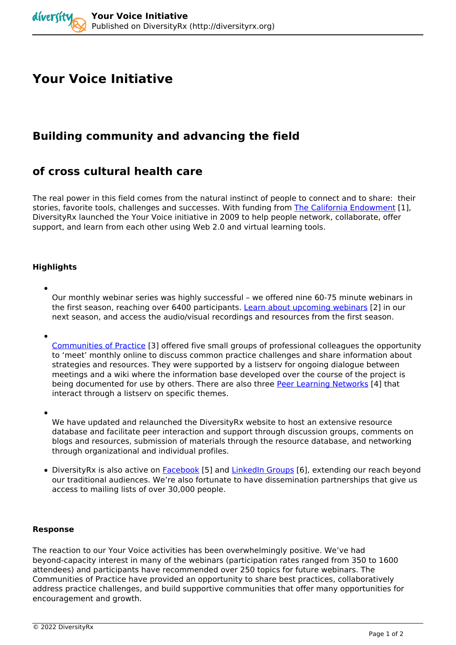# **Your Voice Initiative**

## **Building community and advancing the field**

### **of cross cultural health care**

*The real power in this field comes from the natural instinct of people to connect and to share: their stories, favorite tools, challenges and successes. With funding from [The California Endowment](http://www.calendow.org/) [1], DiversityRx launched the Your Voice initiative in 2009 to help people network, collaborate, offer support, and learn from each other using Web 2.0 and virtual learning tools.* 

### **Highlights**

*Our monthly webinar series was highly successful – we offered nine 60-75 minute webinars in the first season, reaching over 6400 participants. [Learn about upcoming webinars](http://diversityrx.org/../past-webinars) [2] in our next season, and access the audio/visual recordings and resources from the first season.*

*[Communities of Practice](http://diversityrx.org/activities/communities-practice) [3] offered five small groups of professional colleagues the opportunity to 'meet' monthly online to discuss common practice challenges and share information about strategies and resources. They were supported by a listserv for ongoing dialogue between meetings and a wiki where the information base developed over the course of the project is being documented for use by others. There are also three [Peer Learning Networks](http://diversityrx.org/activities/peer-learning-networks) [4] that interact through a listserv on specific themes.*

*We have updated and relaunched the DiversityRx website to host an extensive resource database and facilitate peer interaction and support through discussion groups, comments on blogs and resources, submission of materials through the resource database, and networking through organizational and individual profiles.*

*DiversityRx is also active on [Facebook](http://www.facebook.com/DiversityRx) [5] and [LinkedIn Groups](http://www.linkedin.com/groupRegistration?gid=2506282) [6], extending our reach beyond our traditional audiences. We're also fortunate to have dissemination partnerships that give us access to mailing lists of over 30,000 people.*

#### **Response**

*The reaction to our Your Voice activities has been overwhelmingly positive. We've had beyond-capacity interest in many of the webinars (participation rates ranged from 350 to 1600 attendees) and participants have recommended over 250 topics for future webinars. The Communities of Practice have provided an opportunity to share best practices, collaboratively address practice challenges, and build supportive communities that offer many opportunities for encouragement and growth.*